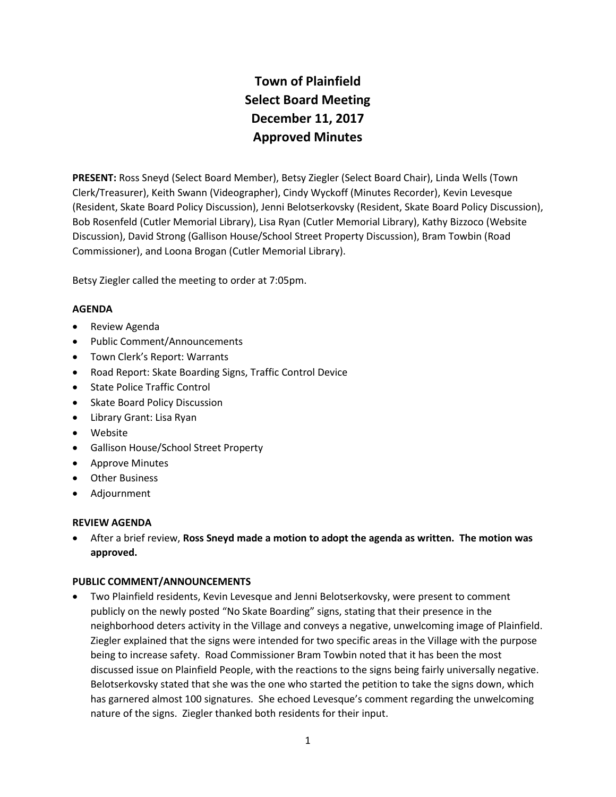# **Town of Plainfield Select Board Meeting December 11, 2017 Approved Minutes**

**PRESENT:** Ross Sneyd (Select Board Member), Betsy Ziegler (Select Board Chair), Linda Wells (Town Clerk/Treasurer), Keith Swann (Videographer), Cindy Wyckoff (Minutes Recorder), Kevin Levesque (Resident, Skate Board Policy Discussion), Jenni Belotserkovsky (Resident, Skate Board Policy Discussion), Bob Rosenfeld (Cutler Memorial Library), Lisa Ryan (Cutler Memorial Library), Kathy Bizzoco (Website Discussion), David Strong (Gallison House/School Street Property Discussion), Bram Towbin (Road Commissioner), and Loona Brogan (Cutler Memorial Library).

Betsy Ziegler called the meeting to order at 7:05pm.

# **AGENDA**

- **•** Review Agenda
- Public Comment/Announcements
- Town Clerk's Report: Warrants
- Road Report: Skate Boarding Signs, Traffic Control Device
- State Police Traffic Control
- Skate Board Policy Discussion
- Library Grant: Lisa Ryan
- Website
- Gallison House/School Street Property
- Approve Minutes
- Other Business
- Adjournment

# **REVIEW AGENDA**

 After a brief review, **Ross Sneyd made a motion to adopt the agenda as written. The motion was approved.**

# **PUBLIC COMMENT/ANNOUNCEMENTS**

 Two Plainfield residents, Kevin Levesque and Jenni Belotserkovsky, were present to comment publicly on the newly posted "No Skate Boarding" signs, stating that their presence in the neighborhood deters activity in the Village and conveys a negative, unwelcoming image of Plainfield. Ziegler explained that the signs were intended for two specific areas in the Village with the purpose being to increase safety. Road Commissioner Bram Towbin noted that it has been the most discussed issue on Plainfield People, with the reactions to the signs being fairly universally negative. Belotserkovsky stated that she was the one who started the petition to take the signs down, which has garnered almost 100 signatures. She echoed Levesque's comment regarding the unwelcoming nature of the signs. Ziegler thanked both residents for their input.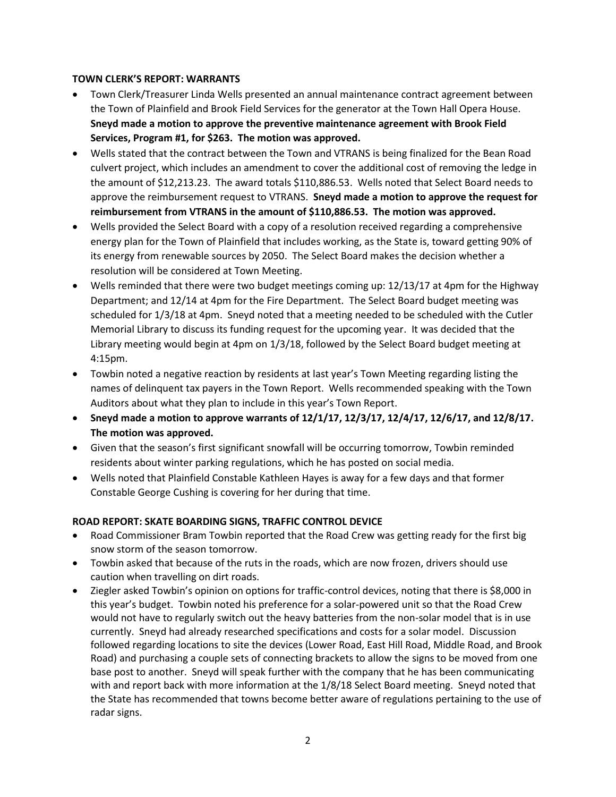# **TOWN CLERK'S REPORT: WARRANTS**

- Town Clerk/Treasurer Linda Wells presented an annual maintenance contract agreement between the Town of Plainfield and Brook Field Services for the generator at the Town Hall Opera House. **Sneyd made a motion to approve the preventive maintenance agreement with Brook Field Services, Program #1, for \$263. The motion was approved.**
- Wells stated that the contract between the Town and VTRANS is being finalized for the Bean Road culvert project, which includes an amendment to cover the additional cost of removing the ledge in the amount of \$12,213.23. The award totals \$110,886.53. Wells noted that Select Board needs to approve the reimbursement request to VTRANS. **Sneyd made a motion to approve the request for reimbursement from VTRANS in the amount of \$110,886.53. The motion was approved.**
- Wells provided the Select Board with a copy of a resolution received regarding a comprehensive energy plan for the Town of Plainfield that includes working, as the State is, toward getting 90% of its energy from renewable sources by 2050. The Select Board makes the decision whether a resolution will be considered at Town Meeting.
- Wells reminded that there were two budget meetings coming up: 12/13/17 at 4pm for the Highway Department; and 12/14 at 4pm for the Fire Department. The Select Board budget meeting was scheduled for 1/3/18 at 4pm. Sneyd noted that a meeting needed to be scheduled with the Cutler Memorial Library to discuss its funding request for the upcoming year. It was decided that the Library meeting would begin at 4pm on 1/3/18, followed by the Select Board budget meeting at 4:15pm.
- Towbin noted a negative reaction by residents at last year's Town Meeting regarding listing the names of delinquent tax payers in the Town Report. Wells recommended speaking with the Town Auditors about what they plan to include in this year's Town Report.
- **Sneyd made a motion to approve warrants of 12/1/17, 12/3/17, 12/4/17, 12/6/17, and 12/8/17. The motion was approved.**
- Given that the season's first significant snowfall will be occurring tomorrow, Towbin reminded residents about winter parking regulations, which he has posted on social media.
- Wells noted that Plainfield Constable Kathleen Hayes is away for a few days and that former Constable George Cushing is covering for her during that time.

# **ROAD REPORT: SKATE BOARDING SIGNS, TRAFFIC CONTROL DEVICE**

- Road Commissioner Bram Towbin reported that the Road Crew was getting ready for the first big snow storm of the season tomorrow.
- Towbin asked that because of the ruts in the roads, which are now frozen, drivers should use caution when travelling on dirt roads.
- Ziegler asked Towbin's opinion on options for traffic-control devices, noting that there is \$8,000 in this year's budget. Towbin noted his preference for a solar-powered unit so that the Road Crew would not have to regularly switch out the heavy batteries from the non-solar model that is in use currently. Sneyd had already researched specifications and costs for a solar model. Discussion followed regarding locations to site the devices (Lower Road, East Hill Road, Middle Road, and Brook Road) and purchasing a couple sets of connecting brackets to allow the signs to be moved from one base post to another. Sneyd will speak further with the company that he has been communicating with and report back with more information at the 1/8/18 Select Board meeting. Sneyd noted that the State has recommended that towns become better aware of regulations pertaining to the use of radar signs.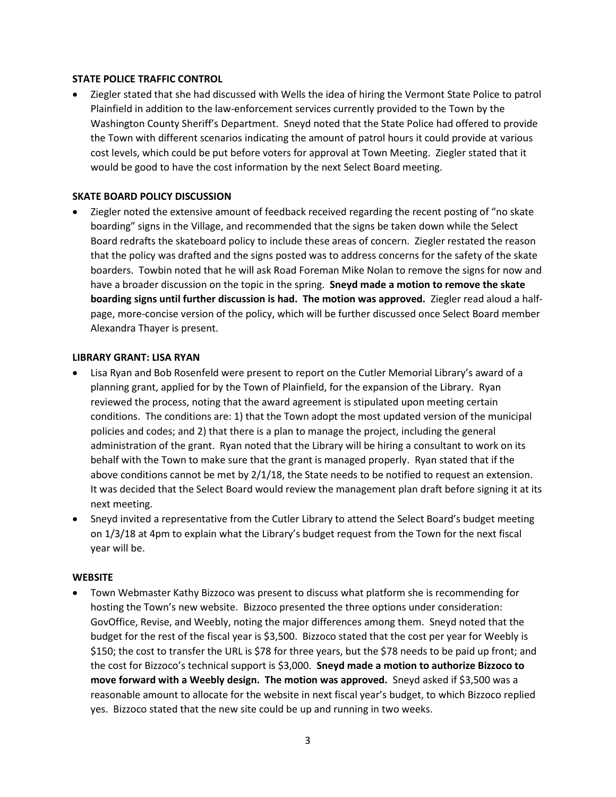## **STATE POLICE TRAFFIC CONTROL**

 Ziegler stated that she had discussed with Wells the idea of hiring the Vermont State Police to patrol Plainfield in addition to the law-enforcement services currently provided to the Town by the Washington County Sheriff's Department. Sneyd noted that the State Police had offered to provide the Town with different scenarios indicating the amount of patrol hours it could provide at various cost levels, which could be put before voters for approval at Town Meeting. Ziegler stated that it would be good to have the cost information by the next Select Board meeting.

### **SKATE BOARD POLICY DISCUSSION**

 Ziegler noted the extensive amount of feedback received regarding the recent posting of "no skate boarding" signs in the Village, and recommended that the signs be taken down while the Select Board redrafts the skateboard policy to include these areas of concern. Ziegler restated the reason that the policy was drafted and the signs posted was to address concerns for the safety of the skate boarders. Towbin noted that he will ask Road Foreman Mike Nolan to remove the signs for now and have a broader discussion on the topic in the spring. **Sneyd made a motion to remove the skate boarding signs until further discussion is had. The motion was approved.** Ziegler read aloud a halfpage, more-concise version of the policy, which will be further discussed once Select Board member Alexandra Thayer is present.

#### **LIBRARY GRANT: LISA RYAN**

- Lisa Ryan and Bob Rosenfeld were present to report on the Cutler Memorial Library's award of a planning grant, applied for by the Town of Plainfield, for the expansion of the Library. Ryan reviewed the process, noting that the award agreement is stipulated upon meeting certain conditions. The conditions are: 1) that the Town adopt the most updated version of the municipal policies and codes; and 2) that there is a plan to manage the project, including the general administration of the grant. Ryan noted that the Library will be hiring a consultant to work on its behalf with the Town to make sure that the grant is managed properly. Ryan stated that if the above conditions cannot be met by 2/1/18, the State needs to be notified to request an extension. It was decided that the Select Board would review the management plan draft before signing it at its next meeting.
- Sneyd invited a representative from the Cutler Library to attend the Select Board's budget meeting on 1/3/18 at 4pm to explain what the Library's budget request from the Town for the next fiscal year will be.

#### **WEBSITE**

 Town Webmaster Kathy Bizzoco was present to discuss what platform she is recommending for hosting the Town's new website. Bizzoco presented the three options under consideration: GovOffice, Revise, and Weebly, noting the major differences among them. Sneyd noted that the budget for the rest of the fiscal year is \$3,500. Bizzoco stated that the cost per year for Weebly is \$150; the cost to transfer the URL is \$78 for three years, but the \$78 needs to be paid up front; and the cost for Bizzoco's technical support is \$3,000. **Sneyd made a motion to authorize Bizzoco to move forward with a Weebly design. The motion was approved.** Sneyd asked if \$3,500 was a reasonable amount to allocate for the website in next fiscal year's budget, to which Bizzoco replied yes. Bizzoco stated that the new site could be up and running in two weeks.